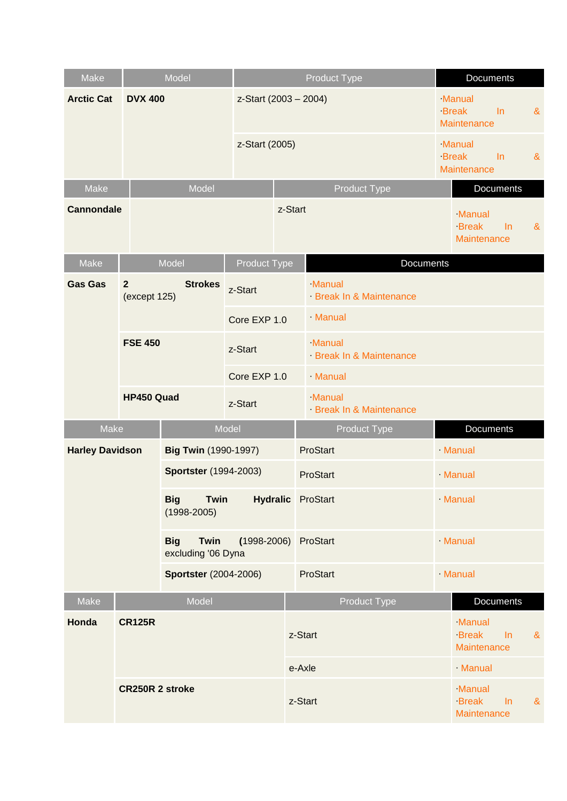| Make                                                                                     |                                | Model                        |                          |          | <b>Product Type</b>              |                                       |                  | <b>Documents</b>                             |       |                       |
|------------------------------------------------------------------------------------------|--------------------------------|------------------------------|--------------------------|----------|----------------------------------|---------------------------------------|------------------|----------------------------------------------|-------|-----------------------|
| <b>Arctic Cat</b>                                                                        |                                | <b>DVX 400</b>               |                          |          | z-Start (2003 - 2004)            |                                       |                  | Manual<br><b>Break</b><br><b>Maintenance</b> | $\ln$ | $\&$                  |
|                                                                                          |                                | z-Start (2005)               |                          |          |                                  |                                       |                  | Manual<br><b>Break</b><br><b>Maintenance</b> | $\ln$ | $\&$                  |
| Make<br>Model                                                                            |                                |                              |                          |          | Product Type<br>Documents        |                                       |                  |                                              |       |                       |
| <b>Cannondale</b>                                                                        |                                |                              |                          | z-Start  |                                  |                                       |                  | Manual<br><b>Break</b><br><b>Maintenance</b> | In.   | $\boldsymbol{\alpha}$ |
| Make                                                                                     |                                | Model                        | <b>Product Type</b>      |          |                                  |                                       | <b>Documents</b> |                                              |       |                       |
| <b>Gas Gas</b>                                                                           | $\overline{2}$<br>(except 125) | <b>Strokes</b>               | z-Start                  |          | Manual<br>Break In & Maintenance |                                       |                  |                                              |       |                       |
|                                                                                          |                                |                              | Core EXP 1.0             |          | Manual                           |                                       |                  |                                              |       |                       |
|                                                                                          | <b>FSE 450</b>                 |                              | z-Start                  |          | Manual<br>Break In & Maintenance |                                       |                  |                                              |       |                       |
|                                                                                          |                                |                              | Core EXP 1.0             |          | Manual                           |                                       |                  |                                              |       |                       |
|                                                                                          | HP450 Quad<br>z-Start          |                              |                          |          | Manual                           | Break In & Maintenance                |                  |                                              |       |                       |
| Make                                                                                     |                                |                              | Model                    |          |                                  | <b>Product Type</b>                   |                  | Documents                                    |       |                       |
| <b>Harley Davidson</b>                                                                   |                                | Big Twin (1990-1997)         |                          |          | ProStart                         |                                       |                  | Manual                                       |       |                       |
|                                                                                          |                                | <b>Sportster</b> (1994-2003) |                          |          | ProStart                         |                                       |                  | Manual                                       |       |                       |
| <b>Twin</b><br><b>Big</b><br>$(1998 - 2005)$<br>Twin<br><b>Big</b><br>excluding '06 Dyna |                                |                              | <b>Hydralic</b> ProStart |          |                                  |                                       |                  | Manual                                       |       |                       |
|                                                                                          |                                | $(1998 - 2006)$              |                          | ProStart |                                  |                                       | Manual           |                                              |       |                       |
| <b>Sportster</b> (2004-2006)                                                             |                                |                              |                          | ProStart |                                  |                                       | Manual           |                                              |       |                       |
| Make                                                                                     | Model                          |                              |                          |          |                                  | <b>Product Type</b>                   |                  | Documents                                    |       |                       |
| Honda                                                                                    | <b>CR125R</b>                  |                              |                          |          | z-Start                          |                                       |                  | Manual<br><b>Break</b><br>Maintenance        | $\ln$ | $\boldsymbol{\alpha}$ |
|                                                                                          |                                |                              |                          |          | e-Axle                           |                                       |                  | Manual                                       |       |                       |
| <b>CR250R 2 stroke</b>                                                                   |                                |                              | z-Start                  |          |                                  | Manual<br><b>Break</b><br>Maintenance | $\ln$            | $\alpha$                                     |       |                       |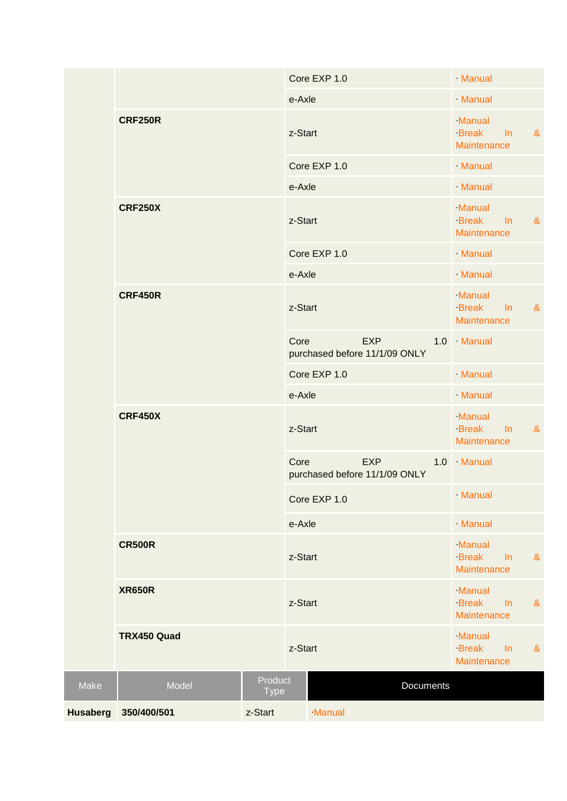|                 |                                |                        |         | Core EXP 1.0                                | Manual                                |       |          |
|-----------------|--------------------------------|------------------------|---------|---------------------------------------------|---------------------------------------|-------|----------|
|                 |                                |                        | e-Axle  |                                             | Manual                                |       |          |
|                 | <b>CRF250R</b>                 |                        |         | z-Start                                     | Manual<br><b>Break</b><br>Maintenance | $\ln$ | $\alpha$ |
|                 |                                |                        |         | Core EXP 1.0                                | Manual                                |       |          |
|                 |                                |                        | e-Axle  |                                             | Manual                                |       |          |
|                 | <b>CRF250X</b>                 |                        | z-Start |                                             | Manual<br><b>Break</b><br>Maintenance | $\ln$ | $\alpha$ |
|                 |                                |                        |         | Core EXP 1.0                                | Manual                                |       |          |
|                 |                                |                        | e-Axle  |                                             | Manual                                |       |          |
|                 | <b>CRF450R</b>                 |                        | z-Start |                                             | Manual<br><b>Break</b><br>Maintenance | $\ln$ | $\alpha$ |
|                 |                                |                        | Core    | <b>EXP</b><br>purchased before 11/1/09 ONLY | 1.0 Manual                            |       |          |
|                 |                                |                        |         | Core EXP 1.0                                | Manual                                |       |          |
|                 |                                |                        | e-Axle  |                                             | Manual                                |       |          |
|                 | <b>CRF450X</b>                 |                        | z-Start |                                             | Manual<br><b>Break</b><br>Maintenance | $\ln$ | $\alpha$ |
|                 |                                |                        | Core    | <b>EXP</b><br>purchased before 11/1/09 ONLY | 1.0 Manual                            |       |          |
|                 |                                |                        |         | Core EXP 1.0                                | Manual                                |       |          |
|                 |                                |                        | e-Axle  |                                             | Manual                                |       |          |
|                 | <b>CR500R</b><br><b>XR650R</b> |                        |         | z-Start                                     | Manual<br><b>Break</b><br>Maintenance | $\ln$ | $\alpha$ |
|                 |                                |                        |         | z-Start                                     | Manual<br><b>Break</b><br>Maintenance | In    | $\alpha$ |
|                 | TRX450 Quad                    |                        |         | z-Start                                     | Manual<br><b>Break</b><br>Maintenance | In    | $\alpha$ |
| Make            | Model                          | Product<br><b>Type</b> |         | Documents                                   |                                       |       |          |
| <b>Husaberg</b> | 350/400/501                    | z-Start                |         | Manual                                      |                                       |       |          |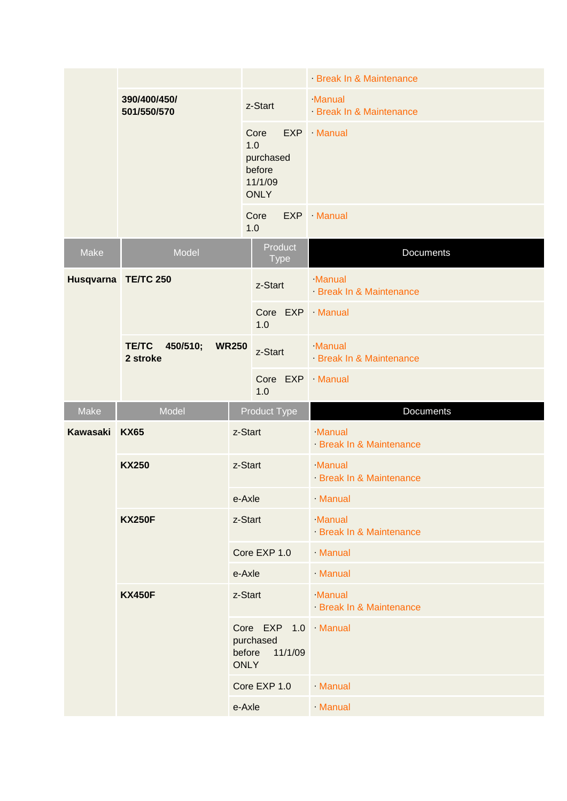|                 |                                      |                       |                                                              | Break In & Maintenance           |
|-----------------|--------------------------------------|-----------------------|--------------------------------------------------------------|----------------------------------|
|                 | 390/400/450/<br>501/550/570          |                       | z-Start                                                      | Manual<br>Break In & Maintenance |
|                 |                                      |                       | Core<br>1.0<br>purchased<br>before<br>11/1/09<br><b>ONLY</b> | EXP · Manual                     |
|                 |                                      |                       | Core<br>1.0                                                  | $EXP$ · Manual                   |
| Make            | Model                                |                       | Product<br><b>Type</b>                                       | Documents                        |
|                 | Husqvarna TE/TC 250                  |                       | z-Start                                                      | Manual<br>Break In & Maintenance |
|                 |                                      |                       | 1.0                                                          | Core EXP Manual                  |
|                 | <b>TE/TC</b><br>450/510;<br>2 stroke | <b>WR250</b>          | z-Start                                                      | Manual<br>Break In & Maintenance |
|                 |                                      |                       | 1.0                                                          | Core EXP Manual                  |
|                 |                                      |                       |                                                              |                                  |
| Make            | Model                                |                       | <b>Product Type</b>                                          | Documents                        |
| <b>Kawasaki</b> | <b>KX65</b>                          | z-Start               |                                                              | Manual<br>Break In & Maintenance |
|                 | <b>KX250</b>                         | z-Start               |                                                              | Manual<br>Break In & Maintenance |
|                 |                                      | e-Axle                |                                                              | Manual                           |
|                 | <b>KX250F</b>                        | z-Start               |                                                              | Manual<br>Break In & Maintenance |
|                 |                                      |                       | Core EXP 1.0                                                 | Manual                           |
|                 |                                      | e-Axle                |                                                              | Manual                           |
|                 | <b>KX450F</b>                        | z-Start               |                                                              | Manual<br>Break In & Maintenance |
|                 |                                      | before<br><b>ONLY</b> | purchased<br>11/1/09                                         | Core EXP 1.0   Manual            |
|                 |                                      |                       | Core EXP 1.0                                                 | Manual                           |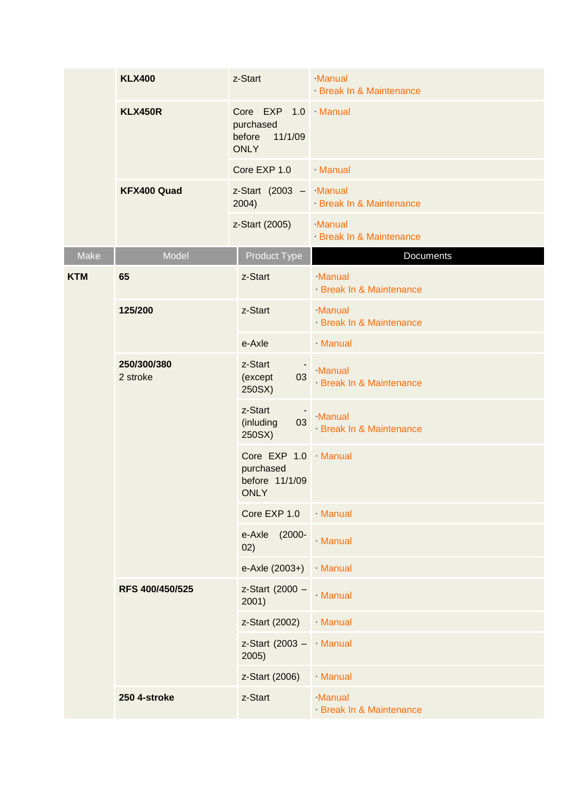|            | <b>KLX400</b>           | z-Start                                                              | Manual<br>Break In & Maintenance |
|------------|-------------------------|----------------------------------------------------------------------|----------------------------------|
|            | <b>KLX450R</b>          | Core EXP 1.0 Manual<br>purchased<br>before<br>11/1/09<br><b>ONLY</b> |                                  |
|            |                         | Core EXP 1.0                                                         | Manual                           |
|            | KFX400 Quad             | z-Start (2003 - Manual<br>2004)                                      | Break In & Maintenance           |
|            |                         | z-Start (2005)                                                       | Manual<br>Break In & Maintenance |
| Make       | Model                   | <b>Product Type</b>                                                  | Documents                        |
| <b>KTM</b> | 65                      | z-Start                                                              | Manual<br>Break In & Maintenance |
|            | 125/200                 | z-Start                                                              | Manual<br>Break In & Maintenance |
|            |                         | e-Axle                                                               | Manual                           |
|            | 250/300/380<br>2 stroke | z-Start<br>03<br>(except<br>250SX)                                   | Manual<br>Break In & Maintenance |
|            |                         | z-Start<br>03<br>(inluding<br>250SX)                                 | Manual<br>Break In & Maintenance |
|            |                         | Core EXP 1.0 Manual<br>purchased<br>before 11/1/09<br><b>ONLY</b>    |                                  |
|            |                         | Core EXP 1.0                                                         | Manual                           |
|            |                         | $(2000 -$<br>e-Axle<br>02)                                           | Manual                           |
|            |                         | e-Axle (2003+)                                                       | Manual                           |
|            | RFS 400/450/525         | z-Start (2000 -<br>2001)                                             | <b>Manual</b>                    |
|            |                         | z-Start (2002)                                                       | Manual                           |
|            |                         | z-Start (2003 - Manual<br>2005)                                      |                                  |
|            |                         | z-Start (2006)                                                       | Manual                           |
|            | 250 4-stroke            | z-Start                                                              | Manual<br>Break In & Maintenance |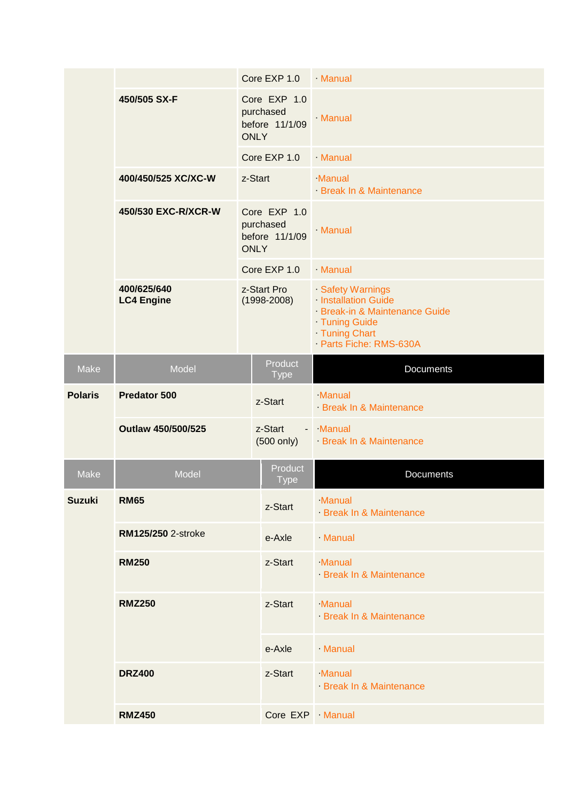|                |                                  |              | Core EXP 1.0 Manual                                        |                                                                                                                                |
|----------------|----------------------------------|--------------|------------------------------------------------------------|--------------------------------------------------------------------------------------------------------------------------------|
|                | 450/505 SX-F                     |              | Core EXP 1.0<br>purchased<br>before 11/1/09<br><b>ONLY</b> | Manual                                                                                                                         |
|                |                                  |              | Core EXP 1.0                                               | Manual                                                                                                                         |
|                | 400/450/525 XC/XC-W              | z-Start      |                                                            | Manual<br>Break In & Maintenance                                                                                               |
|                | 450/530 EXC-R/XCR-W              |              | Core EXP 1.0<br>purchased<br>before 11/1/09<br><b>ONLY</b> | Manual                                                                                                                         |
|                |                                  | Core EXP 1.0 |                                                            | Manual                                                                                                                         |
|                | 400/625/640<br><b>LC4 Engine</b> |              | z-Start Pro<br>$(1998 - 2008)$                             | Safety Warnings<br>Installation Guide<br>Break-in & Maintenance Guide<br>Tuning Guide<br>Tuning Chart<br>Parts Fiche: RMS-630A |
| Make           | Model                            |              | Product<br><b>Type</b>                                     | <b>Documents</b>                                                                                                               |
| <b>Polaris</b> | <b>Predator 500</b>              |              | z-Start                                                    | Manual<br>Break In & Maintenance                                                                                               |
|                | Outlaw 450/500/525               |              | z-Start<br>$(500 \text{ only})$                            | - Manual<br>Break In & Maintenance                                                                                             |
| Make           | Model                            |              | Product<br><b>Type</b>                                     | <b>Documents</b>                                                                                                               |
| <b>Suzuki</b>  | <b>RM65</b>                      |              | z-Start                                                    | Manual<br>Break In & Maintenance                                                                                               |
|                | RM125/250 2-stroke               |              | e-Axle                                                     | Manual                                                                                                                         |
|                | <b>RM250</b>                     |              | z-Start                                                    | Manual<br>Break In & Maintenance                                                                                               |
|                | <b>RMZ250</b>                    |              | z-Start                                                    | Manual<br>Break In & Maintenance                                                                                               |
|                |                                  |              | e-Axle                                                     | Manual                                                                                                                         |
|                | <b>DRZ400</b>                    |              | z-Start                                                    | Manual<br>Break In & Maintenance                                                                                               |
|                |                                  |              |                                                            |                                                                                                                                |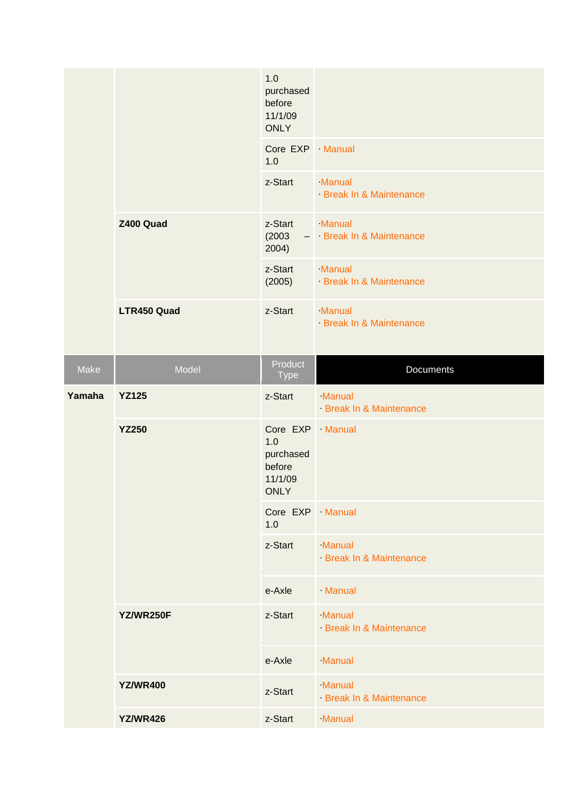|        |                 | 1.0<br>purchased<br>before<br>11/1/09<br><b>ONLY</b>       |                                    |
|--------|-----------------|------------------------------------------------------------|------------------------------------|
|        |                 | Core EXP · Manual<br>1.0                                   |                                    |
|        |                 | z-Start                                                    | Manual<br>Break In & Maintenance   |
|        | Z400 Quad       | z-Start<br>(2003)<br>2004)                                 | Manual<br>- Break In & Maintenance |
|        |                 | z-Start<br>(2005)                                          | Manual<br>Break In & Maintenance   |
|        | LTR450 Quad     | z-Start                                                    | Manual<br>Break In & Maintenance   |
| Make   | Model           | Product<br><b>Type</b>                                     | Documents                          |
| Yamaha | <b>YZ125</b>    | z-Start                                                    | Manual<br>Break In & Maintenance   |
|        | <b>YZ250</b>    | Core EXP · Manual<br>1.0<br>purchased<br>before<br>11/1/09 |                                    |
|        |                 | <b>ONLY</b>                                                |                                    |
|        |                 | Core EXP · Manual<br>1.0                                   |                                    |
|        |                 | z-Start                                                    | Manual<br>Break In & Maintenance   |
|        |                 | e-Axle                                                     | Manual                             |
|        | YZ/WR250F       | z-Start                                                    | Manual<br>Break In & Maintenance   |
|        |                 | e-Axle                                                     | Manual                             |
|        | <b>YZ/WR400</b> | z-Start                                                    | Manual<br>Break In & Maintenance   |